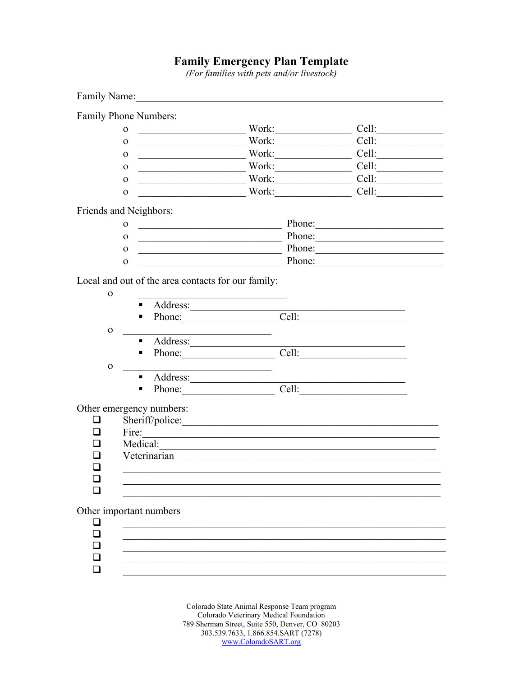## **Family Emergency Plan Template**<br>(For families with pets and/or livestock)

|                          |                                                                                | Family Name:                                          |                                                                |             |                             |
|--------------------------|--------------------------------------------------------------------------------|-------------------------------------------------------|----------------------------------------------------------------|-------------|-----------------------------|
| Family Phone Numbers:    |                                                                                |                                                       |                                                                |             |                             |
|                          | $\mathbf{O}$                                                                   | <u> 1989 - Johann Stein, mars et al. (</u>            |                                                                | Work:       | Cell:                       |
|                          | $\Omega$                                                                       |                                                       |                                                                |             | Cell:                       |
|                          | $\mathbf 0$                                                                    |                                                       |                                                                |             | <u>work: Cell: Cell:</u>    |
|                          | $\mathbf{O}$                                                                   | <u> 1989 - Johann Stoff, fransk politik (d. 1989)</u> |                                                                | Work: Cell: |                             |
|                          | $\mathbf O$                                                                    |                                                       |                                                                |             | EXTREMELTED UP: Nork: Cell: |
|                          | $\mathbf{O}$                                                                   |                                                       |                                                                |             | Work: Cell:                 |
| Friends and Neighbors:   |                                                                                |                                                       |                                                                |             |                             |
|                          | $\mathbf{O}$                                                                   |                                                       |                                                                |             | Phone:                      |
| $\mathbf{O}$             |                                                                                |                                                       |                                                                | Phone:      |                             |
|                          | Phone:<br>$\mathbf{O}$<br><u> 1989 - Johann Barn, fransk politik (d. 1989)</u> |                                                       |                                                                |             |                             |
|                          | $\mathbf{O}$                                                                   |                                                       |                                                                |             |                             |
| $\mathbf{O}$             | ٠                                                                              |                                                       | Local and out of the area contacts for our family:<br>Address: |             |                             |
|                          | п                                                                              |                                                       |                                                                | Cell:       |                             |
| $\mathbf{O}$             |                                                                                |                                                       |                                                                |             |                             |
|                          | ٠                                                                              |                                                       |                                                                |             |                             |
|                          | ٠                                                                              |                                                       | Phone:                                                         | Cell:       |                             |
| $\mathbf{O}$             |                                                                                |                                                       | the control of the control of the control of the control of    |             |                             |
|                          |                                                                                |                                                       | Address:                                                       |             |                             |
|                          | п                                                                              |                                                       |                                                                |             | Phone: Cell: Cell:          |
| Other emergency numbers: |                                                                                |                                                       |                                                                |             |                             |
| $\sim$                   |                                                                                |                                                       |                                                                |             |                             |
|                          |                                                                                |                                                       | Fire:                                                          |             |                             |
|                          | Medical:                                                                       |                                                       |                                                                |             |                             |
|                          | Veterinarian                                                                   |                                                       |                                                                |             |                             |
| ப                        |                                                                                |                                                       |                                                                |             |                             |
|                          |                                                                                |                                                       |                                                                |             |                             |
|                          |                                                                                |                                                       |                                                                |             |                             |
| Other important numbers  |                                                                                |                                                       |                                                                |             |                             |
| ❏                        |                                                                                |                                                       |                                                                |             |                             |
| $\Box$                   |                                                                                |                                                       |                                                                |             |                             |
| □                        |                                                                                |                                                       |                                                                |             |                             |
|                          |                                                                                |                                                       |                                                                |             |                             |
|                          |                                                                                |                                                       |                                                                |             |                             |
|                          |                                                                                |                                                       |                                                                |             |                             |

Colorado State Animal Response Team program Colorado Veterinary Medical Foundation 789 Sherman Street, Suite 550, Denver, CO 80203 303.539.7633, 1.866.854.SART (7278) www.ColoradoSART.org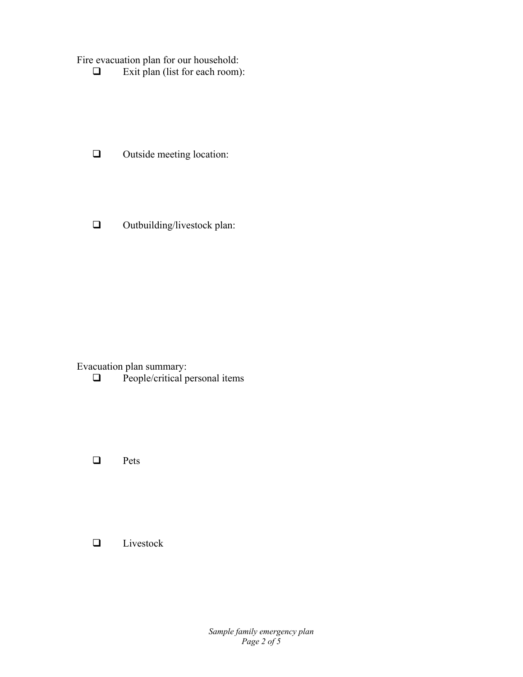Fire evacuation plan for our household:

 $\Box$  Exit plan (list for each room):

- $\Box$  Outside meeting location:
- $\Box$  Outbuilding/livestock plan:

Evacuation plan summary:<br> $\square$  People/critical p

People/critical personal items

**Q** Pets

**Livestock**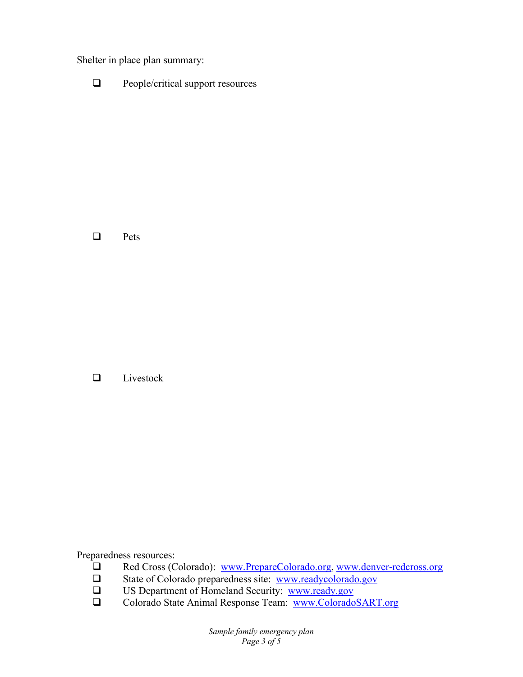Shelter in place plan summary:

**Q** People/critical support resources

 $\Box$  Pets

□ Livestock

Preparedness resources:

- **□** Red Cross (Colorado): <u>www.PrepareColorado.org, www.denver-redcross.org</u><br>□ State of Colorado preparedness site: www.readycolorado.gov
- State of Colorado preparedness site: www.readycolorado.gov
- US Department of Homeland Security: www.ready.gov
- □ Colorado State Animal Response Team: www.ColoradoSART.org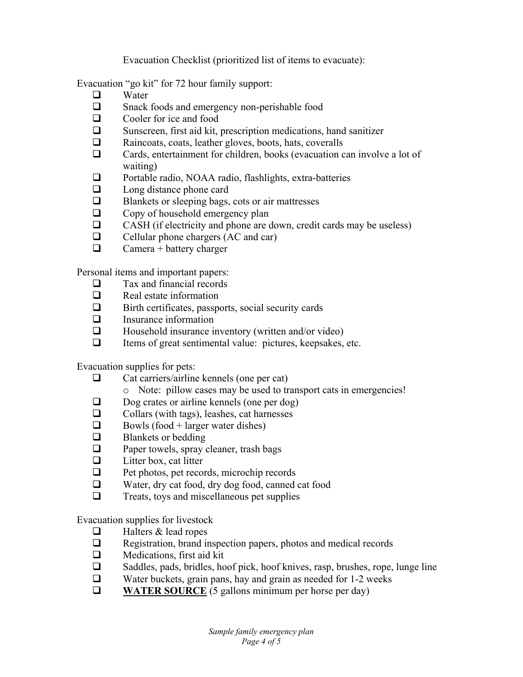Evacuation Checklist (prioritized list of items to evacuate):

Evacuation "go kit" for 72 hour family support:

- $\Box$  Water<br> $\Box$  Snack
- Snack foods and emergency non-perishable food
- $\Box$  Cooler for ice and food
- $\square$  Sunscreen, first aid kit, prescription medications, hand sanitizer
- Raincoats, coats, leather gloves, boots, hats, coveralls
- Cards, entertainment for children, books (evacuation can involve a lot of waiting)
- □ Portable radio, NOAA radio, flashlights, extra-batteries
- $\Box$  Long distance phone card
- $\Box$  Blankets or sleeping bags, cots or air mattresses
- $\Box$  Copy of household emergency plan<br> $\Box$  CASH (if electricity and phone are of
- CASH (if electricity and phone are down, credit cards may be useless)
- $\Box$  Cellular phone chargers (AC and car)
- $\Box$  Camera + battery charger

Personal items and important papers:

- $\Box$  Tax and financial records
- $\Box$  Real estate information
- $\Box$  Birth certificates, passports, social security cards
- **Insurance information**
- $\Box$  Household insurance inventory (written and/or video)
- $\Box$  Items of great sentimental value: pictures, keepsakes, etc.

Evacuation supplies for pets:

- $\Box$  Cat carriers/airline kennels (one per cat)
	- o Note: pillow cases may be used to transport cats in emergencies!
- $\Box$  Dog crates or airline kennels (one per dog)
- $\Box$  Collars (with tags), leashes, cat harnesses
- $\Box$  Bowls (food + larger water dishes)
- $\Box$  Blankets or bedding
- $\Box$  Paper towels, spray cleaner, trash bags
- $\Box$  Litter box, cat litter
- $\Box$  Pet photos, pet records, microchip records
- $\Box$  Water, dry cat food, dry dog food, canned cat food<br>
Treats to and miscellaneous net sunnlies
- Treats, toys and miscellaneous pet supplies

Evacuation supplies for livestock

- $\Box$  Halters & lead ropes
- $\Box$  Registration, brand inspection papers, photos and medical records
- $\Box$  Medications, first aid kit
- $\Box$  Saddles, pads, bridles, hoof pick, hoof knives, rasp, brushes, rope, lunge line
- $\Box$  Water buckets, grain pans, hay and grain as needed for 1-2 weeks
- **WATER SOURCE** (5 gallons minimum per horse per day)